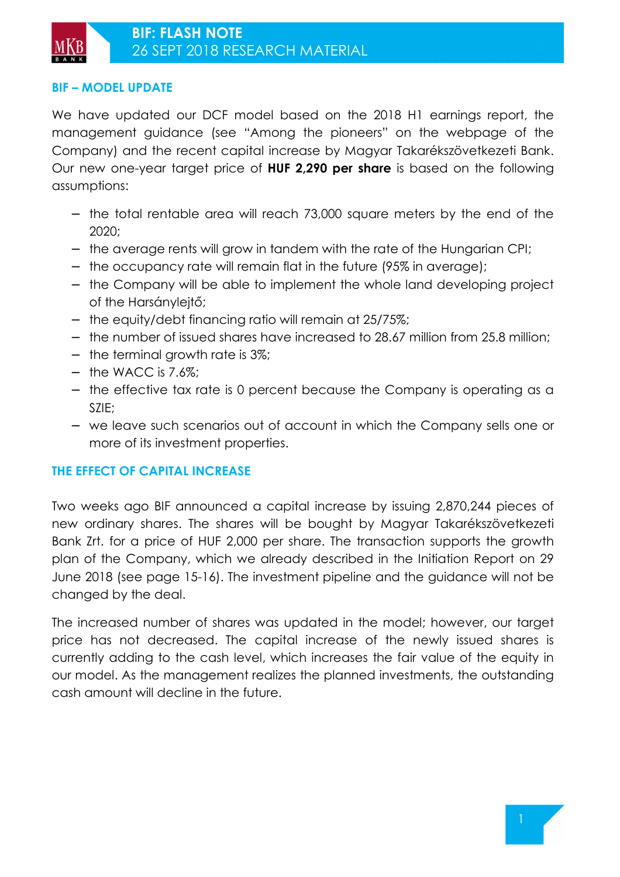### **BIF – MODEL UPDATE**

We have updated our DCF model based on the 2018 H1 earnings report, the management guidance (see "Among the pioneers" on the webpage of the Company) and the recent capital increase by Magyar Takarékszövetkezeti Bank. Our new one-year target price of **HUF 2,290 per share** is based on the following assumptions:

- − the total rentable area will reach 73,000 square meters by the end of the 2020;
- − the average rents will grow in tandem with the rate of the Hungarian CPI;
- − the occupancy rate will remain flat in the future (95% in average);
- − the Company will be able to implement the whole land developing project of the Harsánylejtő;
- − the equity/debt financing ratio will remain at 25/75%;
- − the number of issued shares have increased to 28.67 million from 25.8 million;
- − the terminal growth rate is 3%;
- − the WACC is 7.6%;
- − the effective tax rate is 0 percent because the Company is operating as a SZIE;
- − we leave such scenarios out of account in which the Company sells one or more of its investment properties.

### **THE EFFECT OF CAPITAL INCREASE**

Two weeks ago BIF announced a capital increase by issuing 2,870,244 pieces of new ordinary shares. The shares will be bought by Magyar Takarékszövetkezeti Bank Zrt. for a price of HUF 2,000 per share. The transaction supports the growth plan of the Company, which we already described in the Initiation Report on 29 June 2018 (see page 15-16). The investment pipeline and the guidance will not be changed by the deal.

The increased number of shares was updated in the model; however, our target price has not decreased. The capital increase of the newly issued shares is currently adding to the cash level, which increases the fair value of the equity in our model. As the management realizes the planned investments, the outstanding cash amount will decline in the future.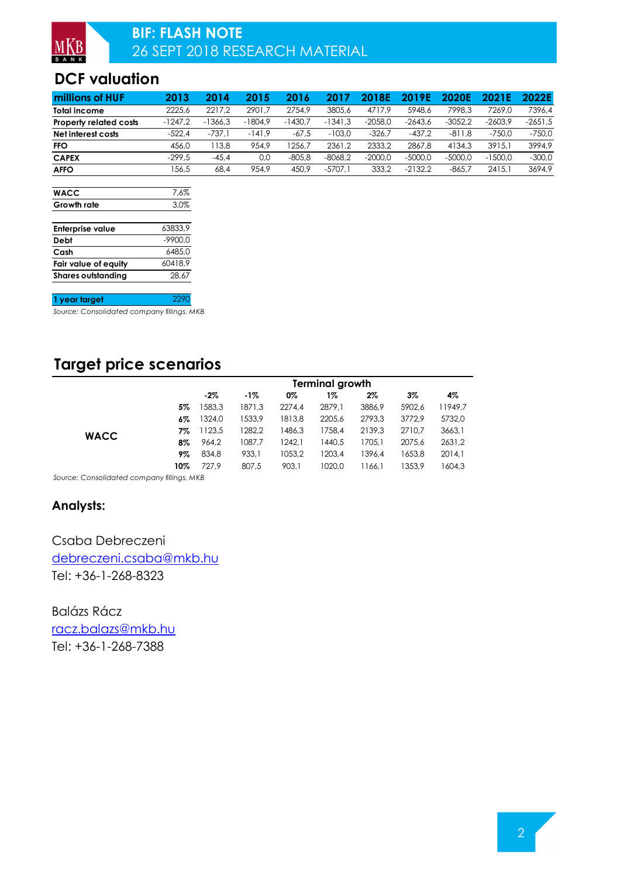## **DCF valuation**

| millions of HUF               | 2013      | 2014      | 2015      | 2016      |           | 18E       | I 9 F     | 2020E     |           | 2022E     |
|-------------------------------|-----------|-----------|-----------|-----------|-----------|-----------|-----------|-----------|-----------|-----------|
| <b>Total income</b>           | 2225.6    | 2217.2    | 2901.7    | 2754.9    | 3805.6    | 4717.9    | 5948.6    | 7998.3    | 7269.0    | 7396.4    |
| <b>Property related costs</b> | $-1247.2$ | $-1366.3$ | $-1804.9$ | $-1430.7$ | $-1341.3$ | $-2058.0$ | -2643.6   | $-3052.2$ | -2603,9   | $-2651.5$ |
| Net interest costs            | $-522.4$  | $-737.$   | $-141.9$  | $-67.5$   | $-103.0$  | $-326.7$  | $-437.2$  | $-811.8$  | $-750.0$  | $-750.0$  |
| <b>FFO</b>                    | 456.0     | 13.8      | 954.9     | 256.7     | 2361.2    | 2333.2    | 2867.8    | 4134.3    | 3915.1    | 3994.9    |
| <b>CAPEX</b>                  | $-299.5$  | $-45.4$   | 0.0       | $-805.8$  | $-8068.2$ | $-2000.0$ | $-5000.0$ | $-5000.0$ | $-1500.0$ | $-300.0$  |
| <b>AFFO</b>                   | 156.5     | 68.4      | 954.9     | 450.9     | $-5707.1$ | 333.2     | -2132,2   | $-865.7$  | 2415.1    | 3694.9    |

| <b>WACC</b>               | 7.6%      |
|---------------------------|-----------|
| Growth rate               | 3,0%      |
|                           |           |
| <b>Enterprise value</b>   | 63833.9   |
| Debt                      | $-9900.0$ |
| Cash                      | 6485.0    |
| Fair value of equity      | 60418.9   |
| <b>Shares outstanding</b> | 28.67     |

**1 year target** 2290

*Source: Consolidated company fillings, MKB*

# **Target price scenarios**

|             |     | <b>Terminal growth</b> |        |        |        |        |        |         |  |
|-------------|-----|------------------------|--------|--------|--------|--------|--------|---------|--|
|             |     | $-2\%$                 | $-1\%$ | 0%     | 1%     | $2\%$  | 3%     | 4%      |  |
|             | 5%  | 583.3                  | 1871,3 | 2274.4 | 2879.1 | 3886,9 | 5902.6 | 11949,7 |  |
|             | 6%  | 1324.0                 | 1533,9 | 1813.8 | 2205.6 | 2793.3 | 3772.9 | 5732,0  |  |
| <b>WACC</b> | 7%  | 123.5                  | 1282,2 | 1486.3 | 1758.4 | 2139.3 | 2710.7 | 3663,1  |  |
|             | 8%  | 964.2                  | 1087,7 | 1242.1 | 1440.5 | 1705.1 | 2075.6 | 2631,2  |  |
|             | 9%  | 834.8                  | 933,1  | 1053.2 | 1203.4 | 1396.4 | 1653.8 | 2014.1  |  |
|             | 10% | 727,9                  | 807,5  | 903,1  | 1020.0 | 1166,1 | 1353.9 | 1604,3  |  |

*Source: Consolidated company fillings, MKB*

### **Analysts:**

Csaba Debreczeni debreczeni.csaba@mkb.hu Tel: +36-1-268-8323

Balázs Rácz racz.balazs@mkb.hu Tel: +36-1-268-7388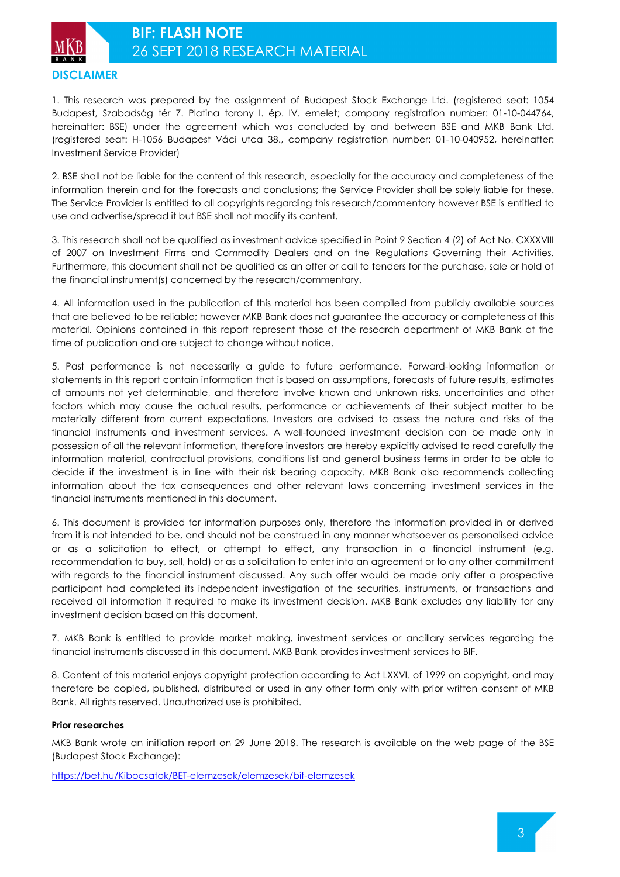

1. This research was prepared by the assignment of Budapest Stock Exchange Ltd. (registered seat: 1054 Budapest, Szabadság tér 7. Platina torony I. ép. IV. emelet; company registration number: 01-10-044764, hereinafter: BSE) under the agreement which was concluded by and between BSE and MKB Bank Ltd. (registered seat: H-1056 Budapest Váci utca 38., company registration number: 01-10-040952, hereinafter: Investment Service Provider)

2. BSE shall not be liable for the content of this research, especially for the accuracy and completeness of the information therein and for the forecasts and conclusions; the Service Provider shall be solely liable for these. The Service Provider is entitled to all copyrights regarding this research/commentary however BSE is entitled to use and advertise/spread it but BSE shall not modify its content.

3. This research shall not be qualified as investment advice specified in Point 9 Section 4 (2) of Act No. CXXXVIII of 2007 on Investment Firms and Commodity Dealers and on the Regulations Governing their Activities. Furthermore, this document shall not be qualified as an offer or call to tenders for the purchase, sale or hold of the financial instrument(s) concerned by the research/commentary.

4. All information used in the publication of this material has been compiled from publicly available sources that are believed to be reliable; however MKB Bank does not guarantee the accuracy or completeness of this material. Opinions contained in this report represent those of the research department of MKB Bank at the time of publication and are subject to change without notice.

5. Past performance is not necessarily a guide to future performance. Forward-looking information or statements in this report contain information that is based on assumptions, forecasts of future results, estimates of amounts not yet determinable, and therefore involve known and unknown risks, uncertainties and other factors which may cause the actual results, performance or achievements of their subject matter to be materially different from current expectations. Investors are advised to assess the nature and risks of the financial instruments and investment services. A well-founded investment decision can be made only in possession of all the relevant information, therefore investors are hereby explicitly advised to read carefully the information material, contractual provisions, conditions list and general business terms in order to be able to decide if the investment is in line with their risk bearing capacity. MKB Bank also recommends collecting information about the tax consequences and other relevant laws concerning investment services in the financial instruments mentioned in this document.

6. This document is provided for information purposes only, therefore the information provided in or derived from it is not intended to be, and should not be construed in any manner whatsoever as personalised advice or as a solicitation to effect, or attempt to effect, any transaction in a financial instrument (e.g. recommendation to buy, sell, hold) or as a solicitation to enter into an agreement or to any other commitment with regards to the financial instrument discussed. Any such offer would be made only after a prospective participant had completed its independent investigation of the securities, instruments, or transactions and received all information it required to make its investment decision. MKB Bank excludes any liability for any investment decision based on this document.

7. MKB Bank is entitled to provide market making, investment services or ancillary services regarding the financial instruments discussed in this document. MKB Bank provides investment services to BIF.

8. Content of this material enjoys copyright protection according to Act LXXVI. of 1999 on copyright, and may therefore be copied, published, distributed or used in any other form only with prior written consent of MKB Bank. All rights reserved. Unauthorized use is prohibited.

#### **Prior researches**

MKB Bank wrote an initiation report on 29 June 2018. The research is available on the web page of the BSE (Budapest Stock Exchange):

https://bet.hu/Kibocsatok/BET-elemzesek/elemzesek/bif-elemzesek